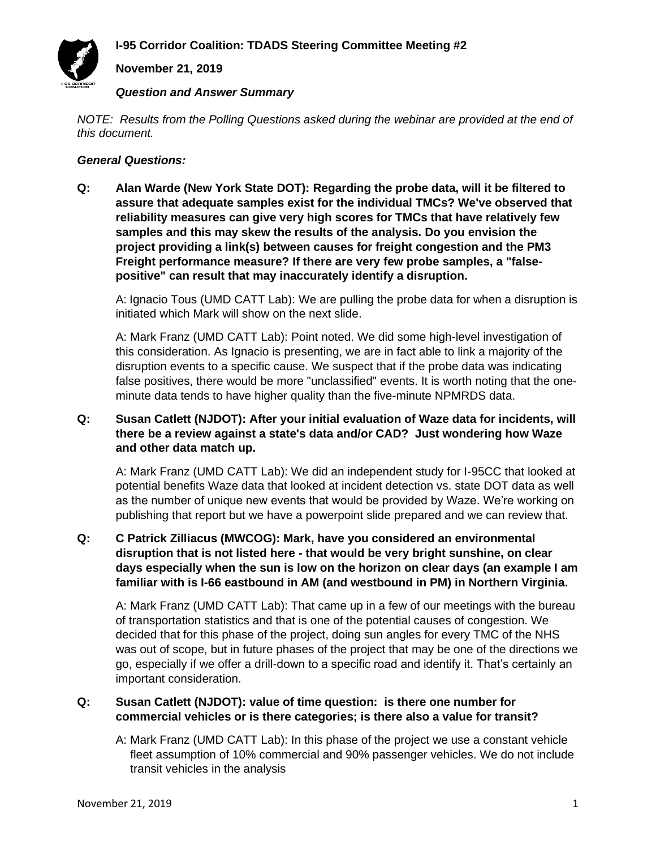# **November 21, 2019**

#### *Question and Answer Summary*

*NOTE: Results from the Polling Questions asked during the webinar are provided at the end of this document.*

#### *General Questions:*

**Q: Alan Warde (New York State DOT): Regarding the probe data, will it be filtered to assure that adequate samples exist for the individual TMCs? We've observed that reliability measures can give very high scores for TMCs that have relatively few samples and this may skew the results of the analysis. Do you envision the project providing a link(s) between causes for freight congestion and the PM3 Freight performance measure? If there are very few probe samples, a "falsepositive" can result that may inaccurately identify a disruption.**

A: Ignacio Tous (UMD CATT Lab): We are pulling the probe data for when a disruption is initiated which Mark will show on the next slide.

A: Mark Franz (UMD CATT Lab): Point noted. We did some high-level investigation of this consideration. As Ignacio is presenting, we are in fact able to link a majority of the disruption events to a specific cause. We suspect that if the probe data was indicating false positives, there would be more "unclassified" events. It is worth noting that the oneminute data tends to have higher quality than the five-minute NPMRDS data.

### **Q: Susan Catlett (NJDOT): After your initial evaluation of Waze data for incidents, will there be a review against a state's data and/or CAD? Just wondering how Waze and other data match up.**

A: Mark Franz (UMD CATT Lab): We did an independent study for I-95CC that looked at potential benefits Waze data that looked at incident detection vs. state DOT data as well as the number of unique new events that would be provided by Waze. We're working on publishing that report but we have a powerpoint slide prepared and we can review that.

### **Q: C Patrick Zilliacus (MWCOG): Mark, have you considered an environmental disruption that is not listed here - that would be very bright sunshine, on clear days especially when the sun is low on the horizon on clear days (an example I am familiar with is I-66 eastbound in AM (and westbound in PM) in Northern Virginia.**

A: Mark Franz (UMD CATT Lab): That came up in a few of our meetings with the bureau of transportation statistics and that is one of the potential causes of congestion. We decided that for this phase of the project, doing sun angles for every TMC of the NHS was out of scope, but in future phases of the project that may be one of the directions we go, especially if we offer a drill-down to a specific road and identify it. That's certainly an important consideration.

### **Q: Susan Catlett (NJDOT): value of time question: is there one number for commercial vehicles or is there categories; is there also a value for transit?**

A: Mark Franz (UMD CATT Lab): In this phase of the project we use a constant vehicle fleet assumption of 10% commercial and 90% passenger vehicles. We do not include transit vehicles in the analysis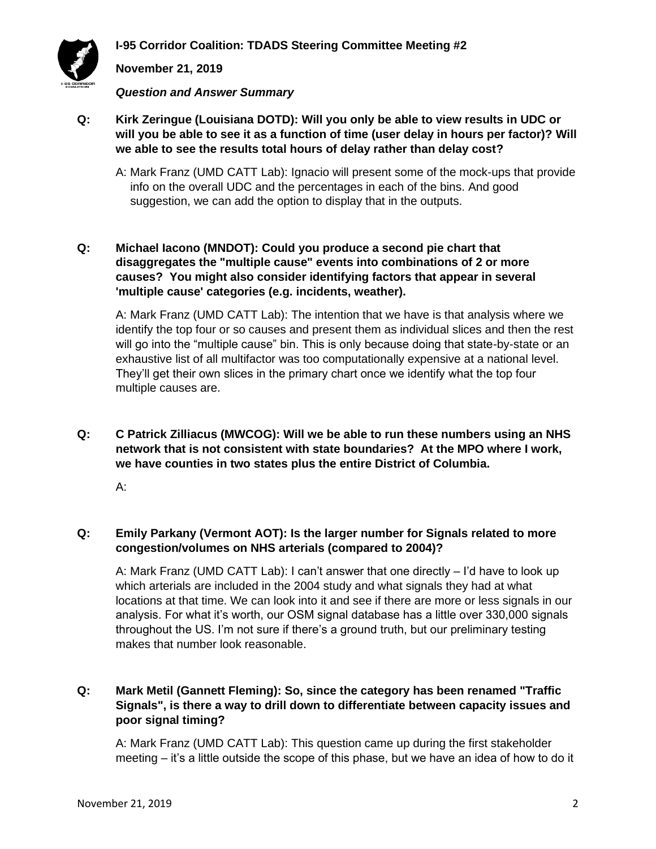

### **November 21, 2019**

*Question and Answer Summary*

- **Q: Kirk Zeringue (Louisiana DOTD): Will you only be able to view results in UDC or will you be able to see it as a function of time (user delay in hours per factor)? Will we able to see the results total hours of delay rather than delay cost?**
	- A: Mark Franz (UMD CATT Lab): Ignacio will present some of the mock-ups that provide info on the overall UDC and the percentages in each of the bins. And good suggestion, we can add the option to display that in the outputs.

### **Q: Michael Iacono (MNDOT): Could you produce a second pie chart that disaggregates the "multiple cause" events into combinations of 2 or more causes? You might also consider identifying factors that appear in several 'multiple cause' categories (e.g. incidents, weather).**

A: Mark Franz (UMD CATT Lab): The intention that we have is that analysis where we identify the top four or so causes and present them as individual slices and then the rest will go into the "multiple cause" bin. This is only because doing that state-by-state or an exhaustive list of all multifactor was too computationally expensive at a national level. They'll get their own slices in the primary chart once we identify what the top four multiple causes are.

**Q: C Patrick Zilliacus (MWCOG): Will we be able to run these numbers using an NHS network that is not consistent with state boundaries? At the MPO where I work, we have counties in two states plus the entire District of Columbia.**

A:

### **Q: Emily Parkany (Vermont AOT): Is the larger number for Signals related to more congestion/volumes on NHS arterials (compared to 2004)?**

A: Mark Franz (UMD CATT Lab): I can't answer that one directly – I'd have to look up which arterials are included in the 2004 study and what signals they had at what locations at that time. We can look into it and see if there are more or less signals in our analysis. For what it's worth, our OSM signal database has a little over 330,000 signals throughout the US. I'm not sure if there's a ground truth, but our preliminary testing makes that number look reasonable.

### **Q: Mark Metil (Gannett Fleming): So, since the category has been renamed "Traffic Signals", is there a way to drill down to differentiate between capacity issues and poor signal timing?**

A: Mark Franz (UMD CATT Lab): This question came up during the first stakeholder meeting – it's a little outside the scope of this phase, but we have an idea of how to do it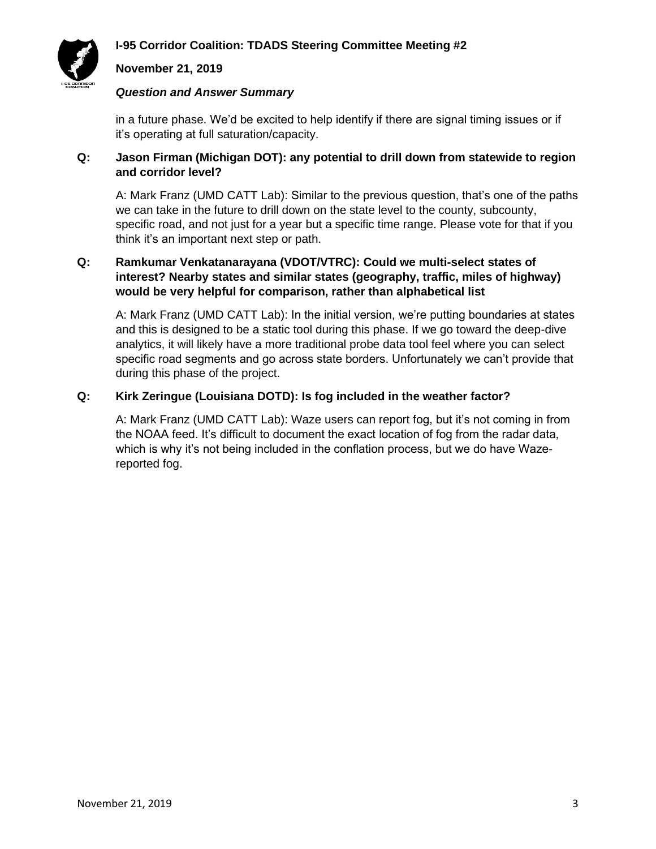

#### **November 21, 2019**

#### *Question and Answer Summary*

in a future phase. We'd be excited to help identify if there are signal timing issues or if it's operating at full saturation/capacity.

### **Q: Jason Firman (Michigan DOT): any potential to drill down from statewide to region and corridor level?**

A: Mark Franz (UMD CATT Lab): Similar to the previous question, that's one of the paths we can take in the future to drill down on the state level to the county, subcounty, specific road, and not just for a year but a specific time range. Please vote for that if you think it's an important next step or path.

### **Q: Ramkumar Venkatanarayana (VDOT/VTRC): Could we multi-select states of interest? Nearby states and similar states (geography, traffic, miles of highway) would be very helpful for comparison, rather than alphabetical list**

A: Mark Franz (UMD CATT Lab): In the initial version, we're putting boundaries at states and this is designed to be a static tool during this phase. If we go toward the deep-dive analytics, it will likely have a more traditional probe data tool feel where you can select specific road segments and go across state borders. Unfortunately we can't provide that during this phase of the project.

### **Q: Kirk Zeringue (Louisiana DOTD): Is fog included in the weather factor?**

A: Mark Franz (UMD CATT Lab): Waze users can report fog, but it's not coming in from the NOAA feed. It's difficult to document the exact location of fog from the radar data, which is why it's not being included in the conflation process, but we do have Wazereported fog.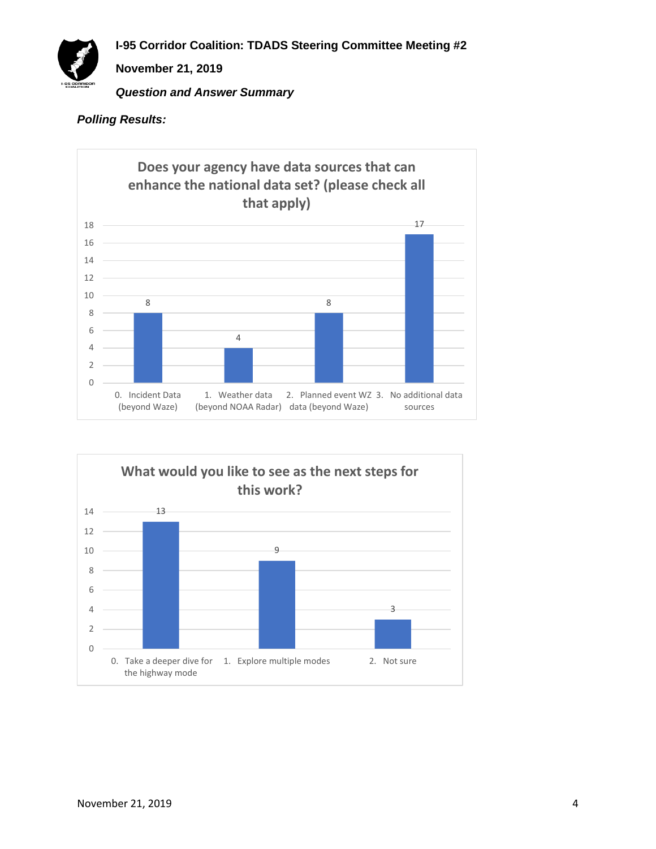

### *Polling Results:*